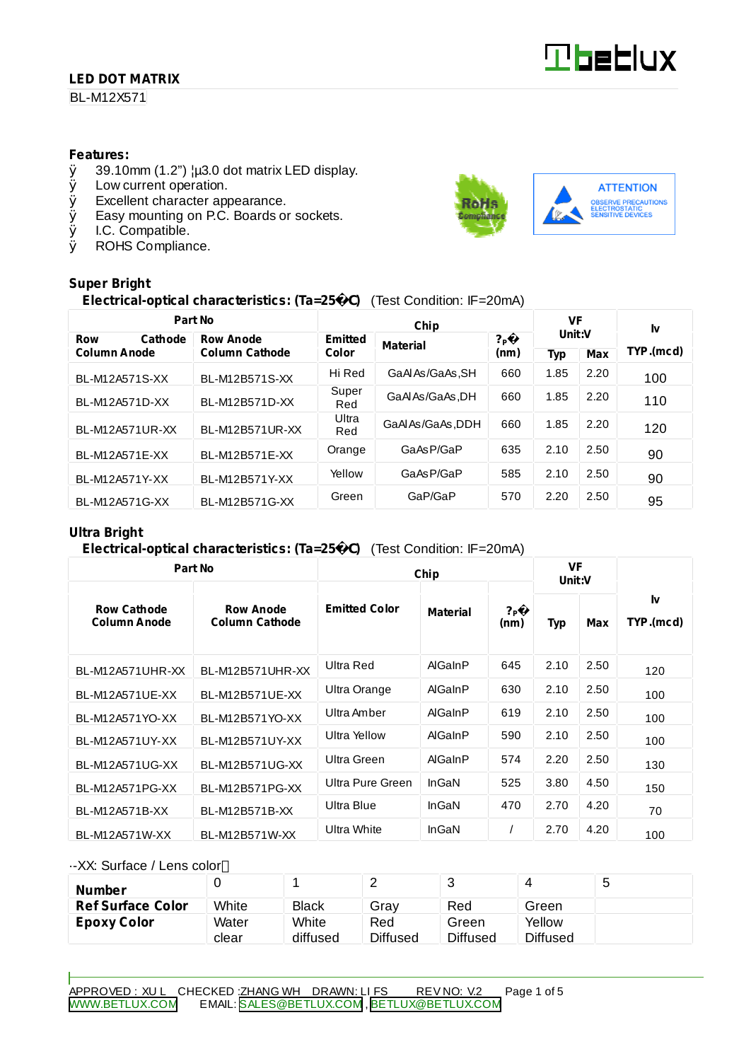## **LED DOT MATRIX**

BL-M12X571

#### **Features:**

- $\emptyset$  39.10mm (1.2")  $\mu$ 3.0 dot matrix LED display.<br> $\emptyset$  Low current operation.
- Low current operation.
- Ø Excellent character appearance.
- Ø Easy mounting on P.C. Boards or sockets.
- Ø I.C. Compatible.
- Ø ROHS Compliance.

# **Super Bright**

# **Electrical-optical characteristics: (Ta=25** C**)** (Test Condition: IF=20mA)

| Part No               |                       |              | VF                      |               | I۷         |            |           |  |
|-----------------------|-----------------------|--------------|-------------------------|---------------|------------|------------|-----------|--|
| <b>Row</b><br>Cathode | <b>Row Anode</b>      | Emitted      | Chip<br><b>Material</b> | $?$ P<br>(nm) | Unit:V     |            |           |  |
| <b>Column Anode</b>   | <b>Column Cathode</b> |              | Color                   |               | <b>Typ</b> | <b>Max</b> | TYP.(mcd) |  |
| BL-M12A571S-XX        | BL-M12B571S-XX        | Hi Red       | GaAlAs/GaAs.SH          | 660           | 1.85       | 2.20       | 100       |  |
| BL-M12A571D-XX        | BL-M12B571D-XX        | Super<br>Red | GaALAs/GaAs.DH          | 660           | 1.85       | 2.20       | 110       |  |
| BL-M12A571UR-XX       | BL-M12B571UR-XX       | Ultra<br>Red | GaAlAs/GaAs, DDH        | 660           | 1.85       | 2.20       | 120       |  |
| BL-M12A571E-XX        | BL-M12B571E-XX        | Orange       | GaAsP/GaP               | 635           | 2.10       | 2.50       | 90        |  |
| BL-M12A571Y-XX        | BL-M12B571Y-XX        | Yellow       | GaAsP/GaP               | 585           | 2.10       | 2.50       | 90        |  |
| BL-M12A571G-XX        | BL-M12B571G-XX        | Green        | GaP/GaP                 | 570           | 2.20       | 2.50       | 95        |  |

#### **Ultra Bright**

#### **Electrical-optical characteristics: (Ta=25** C**)** (Test Condition: IF=20mA)

| Part No                                   |                                           | Chip                 | <b>VF</b><br>Unit:V |                          |            |      |                 |  |
|-------------------------------------------|-------------------------------------------|----------------------|---------------------|--------------------------|------------|------|-----------------|--|
| <b>Row Cathode</b><br><b>Column Anode</b> | <b>Row Anode</b><br><b>Column Cathode</b> | <b>Emitted Color</b> | <b>Material</b>     | $?_{\mathsf{P}}$<br>(nm) | <b>Typ</b> | Max  | Ιv<br>TYP.(mcd) |  |
| BL-M12A571UHR-XX                          | BL-M12B571UHR-XX                          | Ultra Red            | AlGaInP             | 645                      | 2.10       | 2.50 | 120             |  |
| BL-M12A571UE-XX                           | BL-M12B571UE-XX                           | Ultra Orange         | AlGaInP             | 630                      | 2.10       | 2.50 | 100             |  |
| BL-M12A571YO-XX                           | BL-M12B571YO-XX                           | Ultra Amber          | AlGaInP             | 619                      | 2.10       | 2.50 | 100             |  |
| BL-M12A571UY-XX                           | BL-M12B571UY-XX                           | Ultra Yellow         | AlGaInP             | 590                      | 2.10       | 2.50 | 100             |  |
| BL-M12A571UG-XX                           | BL-M12B571UG-XX                           | Ultra Green          | AlGaInP             | 574                      | 2.20       | 2.50 | 130             |  |
| BL-M12A571PG-XX                           | BL-M12B571PG-XX                           | Ultra Pure Green     | InGaN               | 525                      | 3.80       | 4.50 | 150             |  |
| BL-M12A571B-XX                            | BL-M12B571B-XX                            | Ultra Blue           | InGaN               | 470                      | 2.70       | 4.20 | 70              |  |
| BL-M12A571W-XX                            | BL-M12B571W-XX                            | <b>Ultra White</b>   | InGaN               |                          | 2.70       | 4.20 | 100             |  |

#### ·-XX: Surface / Lens color

| <b>Number</b>            |       |              | ∸               |          |                 | ರಿ |
|--------------------------|-------|--------------|-----------------|----------|-----------------|----|
| <b>Ref Surface Color</b> | White | <b>Black</b> | Grav            | Red      | Green           |    |
| Epoxy Color              | Water | White        | Red             | Green    | Yellow          |    |
|                          | clear | diffused     | <b>Diffused</b> | Diffused | <b>Diffused</b> |    |

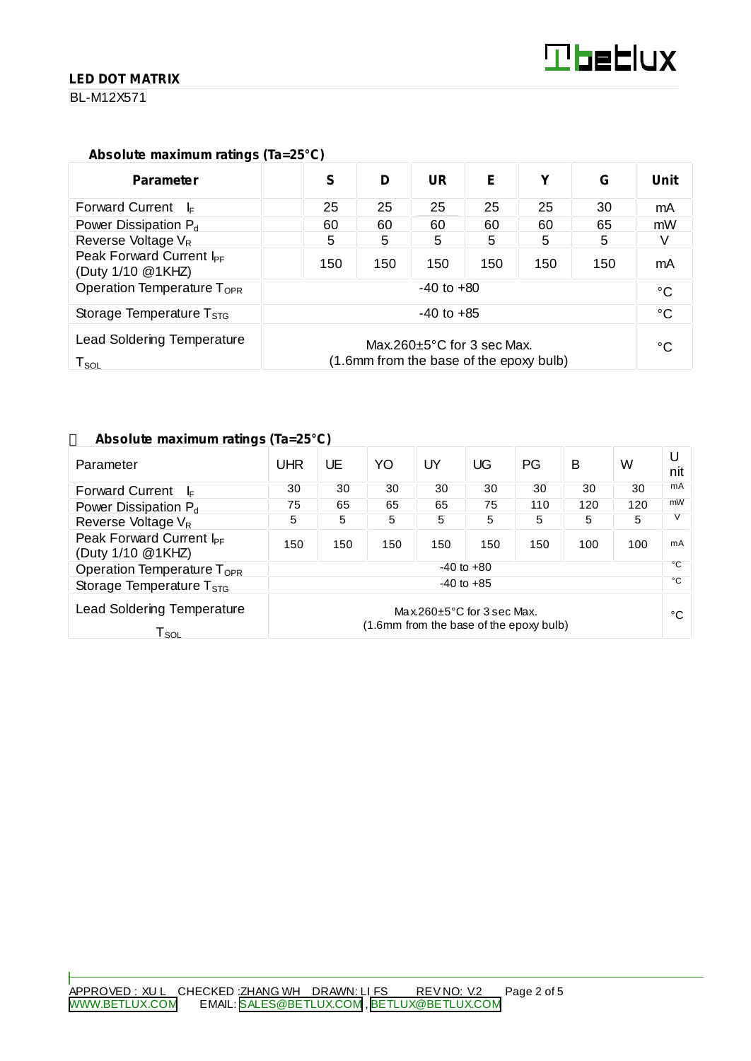## **LED DOT MATRIX**

BL-M12X571

# **Absolute maximum ratings (Ta=25°C)**

| <b>Parameter</b>                                                                                                                                | S              | D   | UR  | E   | v   | G   | Unit |
|-------------------------------------------------------------------------------------------------------------------------------------------------|----------------|-----|-----|-----|-----|-----|------|
| <b>Forward Current</b><br>– l⊧                                                                                                                  | 25             | 25  | 25  | 25  | 25  | 30  | mA   |
| Power Dissipation $P_d$                                                                                                                         | 60             | 60  | 60  | 60  | 60  | 65  | mW   |
| Reverse Voltage $V_R$                                                                                                                           | 5              | 5   | 5   | 5   | 5   | 5   |      |
| Peak Forward Current I <sub>PF</sub><br>(Duty 1/10 @1KHZ)                                                                                       | 150            | 150 | 150 | 150 | 150 | 150 | mA   |
| Operation Temperature T <sub>OPR</sub>                                                                                                          | $-40$ to $+80$ |     |     |     |     |     |      |
| Storage Temperature $T_{STG}$                                                                                                                   | $-40$ to $+85$ |     |     |     |     |     |      |
| <b>Lead Soldering Temperature</b><br>Max.260 $\pm$ 5°C for 3 sec Max.<br>(1.6mm from the base of the epoxy bulb)<br>$\mathsf{T}_{\mathsf{SOL}}$ |                |     |     |     | °C  |     |      |

## **Absolute maximum ratings (Ta=25°C)**

| Parameter                                                        | UHR                                                                         | UE  | YO  | UY  | UG  | PG  | B   | W            | U<br>nit |
|------------------------------------------------------------------|-----------------------------------------------------------------------------|-----|-----|-----|-----|-----|-----|--------------|----------|
| <b>Forward Current</b><br>$\mathsf{I}$                           | 30                                                                          | 30  | 30  | 30  | 30  | 30  | 30  | 30           | mA       |
| Power Dissipation P <sub>d</sub>                                 | 75                                                                          | 65  | 65  | 65  | 75  | 110 | 120 | 120          | mW       |
| Reverse Voltage V <sub>R</sub>                                   | 5                                                                           | 5   | 5   | 5   | 5   | 5   | 5   | 5            |          |
| Peak Forward Current I <sub>PF</sub><br>(Duty 1/10 @1KHZ)        | 150                                                                         | 150 | 150 | 150 | 150 | 150 | 100 | 100          | mA       |
| Operation Temperature T <sub>OPR</sub>                           | $-40$ to $+80$                                                              |     |     |     |     |     | °C  |              |          |
| Storage Temperature $T_{\rm STG}$                                | $-40$ to $+85$                                                              |     |     |     |     |     |     | $^{\circ}$ C |          |
| <b>Lead Soldering Temperature</b><br>$\mathsf{T}_{\mathsf{SOL}}$ | Max.260 $\pm$ 5°C for 3 sec Max.<br>(1.6mm from the base of the epoxy bulb) |     |     |     |     |     |     | °C           |          |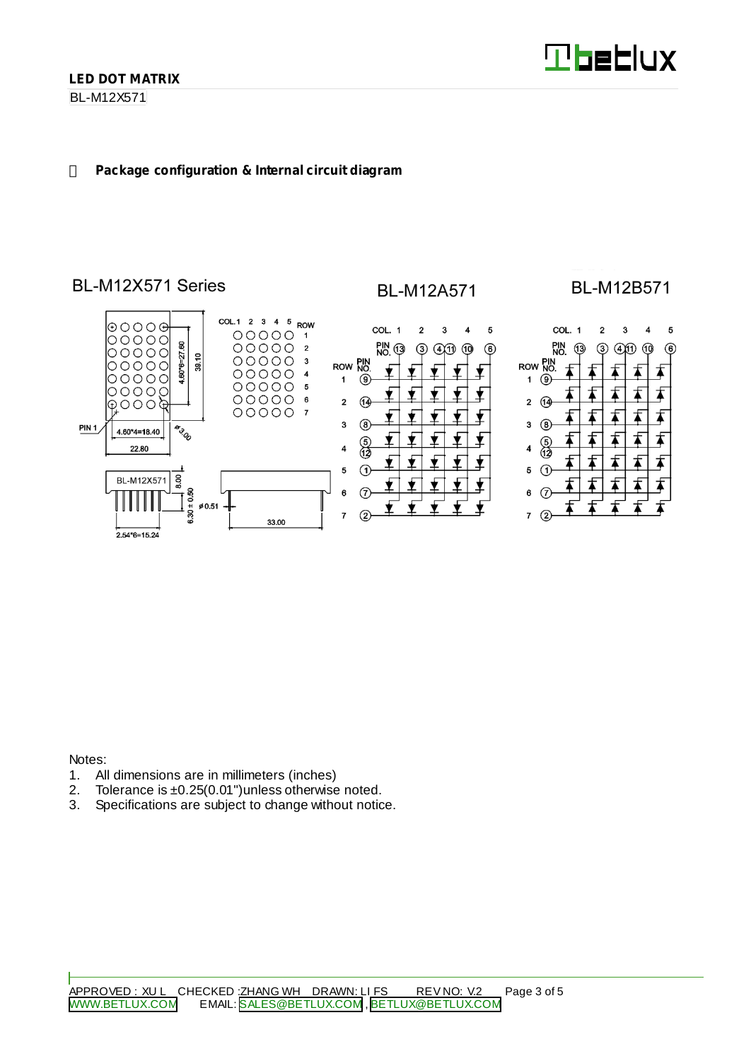BL-M12X571

## **Package configuration & Internal circuit diagram**



Notes:

- 1. All dimensions are in millimeters (inches)
- 2. Tolerance is ±0.25(0.01")unless otherwise noted.
- 3. Specifications are subject to change without notice.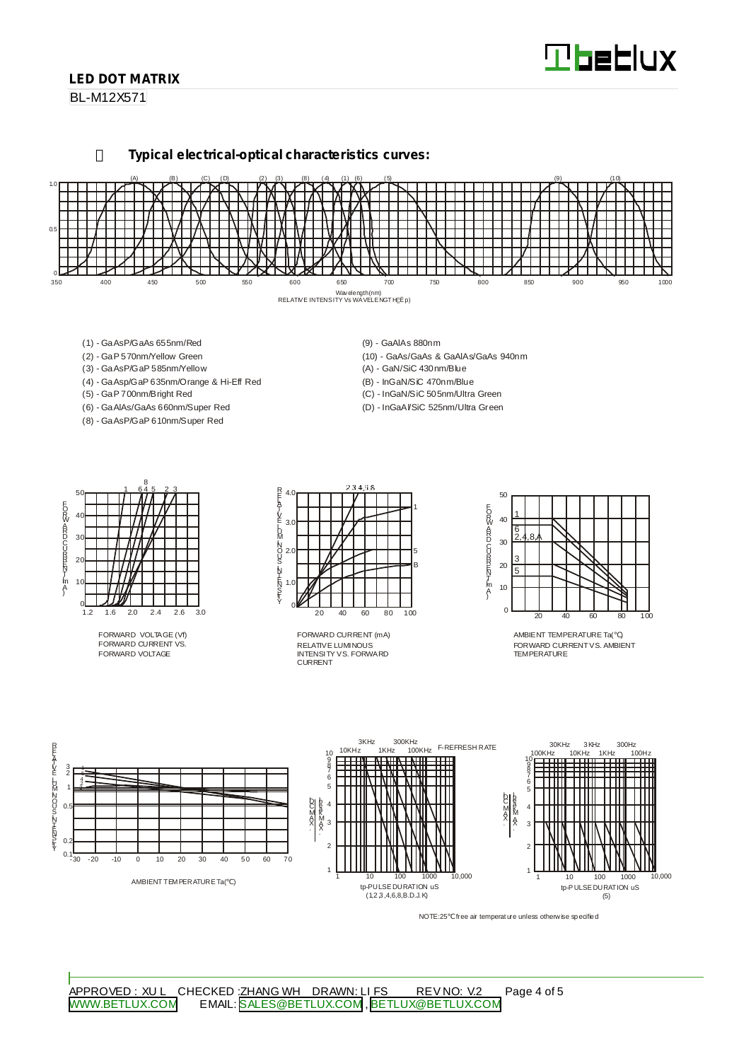# **Tbeblux**

## **LED DOT MATRIX**

BL-M12X571

**Typical electrical-optical characteristics curves:**



- (1) GaAsP/GaAs 655nm/Red
- (2) GaP 570nm/Yellow Green
- (3) GaAsP/GaP 585nm/Yellow
- (4) GaAsp/GaP 635nm/Orange & Hi-Eff Red
- (5) GaP 700nm/Bright Red
- (6) GaAlAs/GaAs 660nm/Super Red (8) - GaAsP/GaP 610nm/Super Red
- (9) GaAlAs 880nm
- (10) GaAs/GaAs & GaAlAs/GaAs 940nm
- (A) GaN/SiC 430nm/Blue
- (B) InGaN/SiC 470nm/Blue
- (C) InGaN/SiC 505nm/Ultra Green (D) - InGaAl/SiC 525nm/Ultra Green

50 40 30  $\mathcal{D}$ 10  $rac{0}{1.2}$ 1.2 1.6 2.0 2.4 2.6 3.0 1 645 23 8 EORWARD CURRINT [mA]

FORWARD VOLTAGE (Vf) FORWARD CURRENT VS. FORWARD VOLTAGE



RELATIVE LUMINOUS INTENSITY VS. FORWARD CURRENT FORWARD CURRENT (mA)



AMBIENT TEMPERATURE Ta( ) FORWARD CURRENTVS. AMBIENT TEMPERATURE



NOTE:25 free air temperature unless otherwise specified